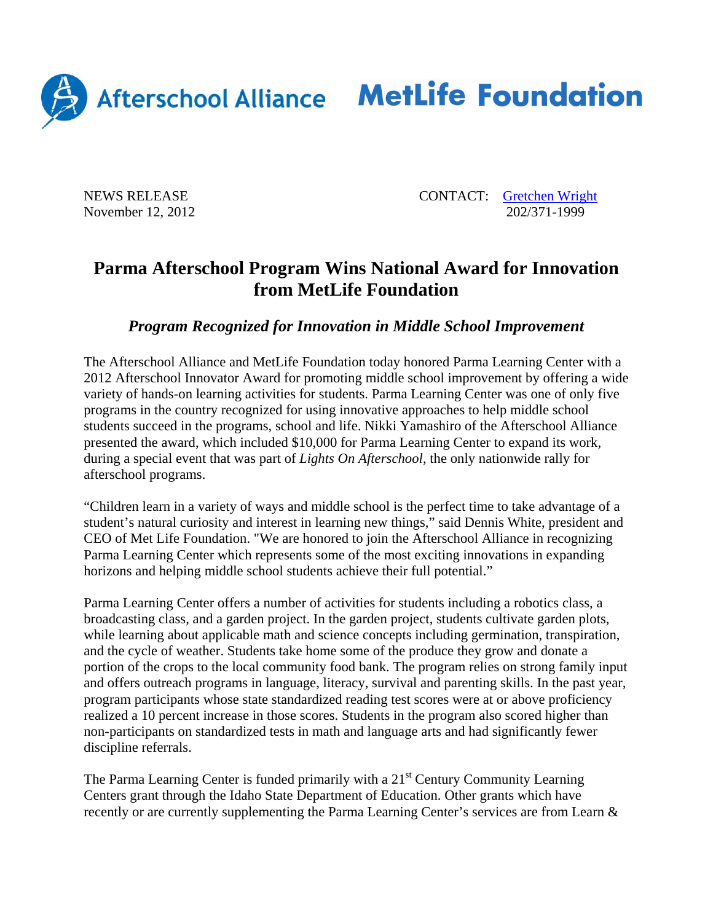

Afterschool Alliance MetLife Foundation

NEWS RELEASE CONTACT: Gretchen Wright November 12, 2012 202/371-1999

## **Parma Afterschool Program Wins National Award for Innovation from MetLife Foundation**

## *Program Recognized for Innovation in Middle School Improvement*

The Afterschool Alliance and MetLife Foundation today honored Parma Learning Center with a 2012 Afterschool Innovator Award for promoting middle school improvement by offering a wide variety of hands-on learning activities for students. Parma Learning Center was one of only five programs in the country recognized for using innovative approaches to help middle school students succeed in the programs, school and life. Nikki Yamashiro of the Afterschool Alliance presented the award, which included \$10,000 for Parma Learning Center to expand its work, during a special event that was part of *Lights On Afterschool*, the only nationwide rally for afterschool programs.

"Children learn in a variety of ways and middle school is the perfect time to take advantage of a student's natural curiosity and interest in learning new things," said Dennis White, president and CEO of Met Life Foundation. "We are honored to join the Afterschool Alliance in recognizing Parma Learning Center which represents some of the most exciting innovations in expanding horizons and helping middle school students achieve their full potential."

Parma Learning Center offers a number of activities for students including a robotics class, a broadcasting class, and a garden project. In the garden project, students cultivate garden plots, while learning about applicable math and science concepts including germination, transpiration, and the cycle of weather. Students take home some of the produce they grow and donate a portion of the crops to the local community food bank. The program relies on strong family input and offers outreach programs in language, literacy, survival and parenting skills. In the past year, program participants whose state standardized reading test scores were at or above proficiency realized a 10 percent increase in those scores. Students in the program also scored higher than non-participants on standardized tests in math and language arts and had significantly fewer discipline referrals.

The Parma Learning Center is funded primarily with a  $21<sup>st</sup>$  Century Community Learning Centers grant through the Idaho State Department of Education. Other grants which have recently or are currently supplementing the Parma Learning Center's services are from Learn &